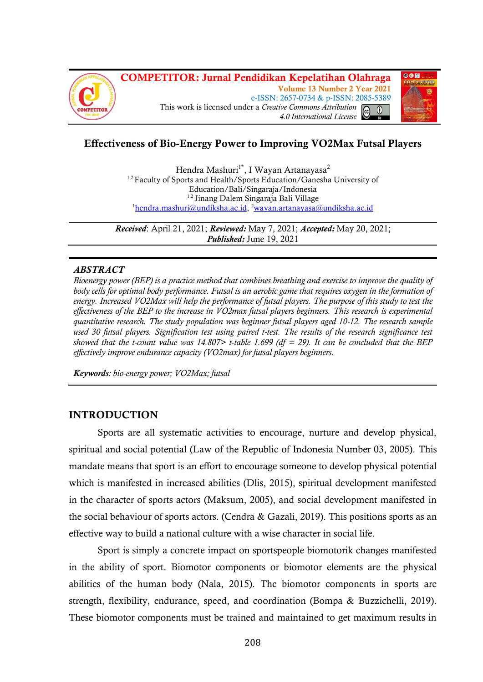



# **Effectiveness of Bio-Energy Power to Improving VO2Max Futsal Players**

Hendra Mashuri<sup>1\*</sup>, I Wayan Artanayasa<sup>2</sup> <sup>1,2</sup> Faculty of Sports and Health/Sports Education/Ganesha University of Education/Bali/Singaraja/Indonesia 1,2 Jinang Dalem Singaraja Bali Village <sup>1</sup>[hendra.mashuri@undiksha.ac.id,](mailto:1hendra.mashuri@undiksha.ac.id) <sup>2</sup>[wayan.artanayasa@undiksha.ac.id](mailto:2wayan.artanayasa@undiksha.ac.id)

*Received*: April 21, 2021; *Reviewed:* May 7, 2021; *Accepted:* May 20, 2021; *Published:* June 19, 2021

### *ABSTRACT*

*Bioenergy power (BEP) is a practice method that combines breathing and exercise to improve the quality of body cells for optimal body performance. Futsal is an aerobic game that requires oxygen in the formation of energy. Increased VO2Max will help the performance of futsal players. The purpose of this study to test the effectiveness of the BEP to the increase in VO2max futsal players beginners. This research is experimental quantitative research. The study population was beginner futsal players aged 10-12. The research sample used 30 futsal players. Signification test using paired t-test. The results of the research significance test showed that the t-count value was 14.807> t-table 1.699 (df = 29). It can be concluded that the BEP effectively improve endurance capacity (VO2max) for futsal players beginners.*

*Keywords: bio-energy power; VO2Max; futsal*

## **INTRODUCTION**

Sports are all systematic activities to encourage, nurture and develop physical, spiritual and social potential (Law of the Republic of Indonesia Number 03, 2005). This mandate means that sport is an effort to encourage someone to develop physical potential which is manifested in increased abilities (Dlis, 2015), spiritual development manifested in the character of sports actors (Maksum, 2005), and social development manifested in the social behaviour of sports actors. (Cendra & Gazali, 2019). This positions sports as an effective way to build a national culture with a wise character in social life.

Sport is simply a concrete impact on sportspeople biomotorik changes manifested in the ability of sport. Biomotor components or biomotor elements are the physical abilities of the human body (Nala, 2015). The biomotor components in sports are strength, flexibility, endurance, speed, and coordination (Bompa & Buzzichelli, 2019). These biomotor components must be trained and maintained to get maximum results in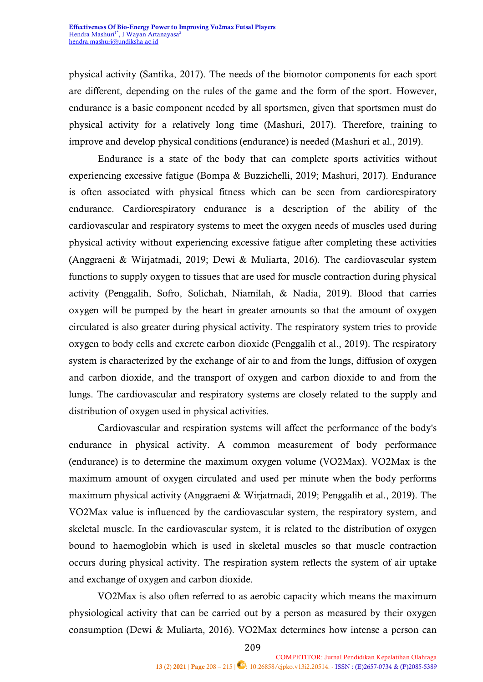physical activity (Santika, 2017). The needs of the biomotor components for each sport are different, depending on the rules of the game and the form of the sport. However, endurance is a basic component needed by all sportsmen, given that sportsmen must do physical activity for a relatively long time (Mashuri, 2017). Therefore, training to improve and develop physical conditions (endurance) is needed (Mashuri et al., 2019).

Endurance is a state of the body that can complete sports activities without experiencing excessive fatigue (Bompa & Buzzichelli, 2019; Mashuri, 2017). Endurance is often associated with physical fitness which can be seen from cardiorespiratory endurance. Cardiorespiratory endurance is a description of the ability of the cardiovascular and respiratory systems to meet the oxygen needs of muscles used during physical activity without experiencing excessive fatigue after completing these activities (Anggraeni & Wirjatmadi, 2019; Dewi & Muliarta, 2016). The cardiovascular system functions to supply oxygen to tissues that are used for muscle contraction during physical activity (Penggalih, Sofro, Solichah, Niamilah, & Nadia, 2019). Blood that carries oxygen will be pumped by the heart in greater amounts so that the amount of oxygen circulated is also greater during physical activity. The respiratory system tries to provide oxygen to body cells and excrete carbon dioxide (Penggalih et al., 2019). The respiratory system is characterized by the exchange of air to and from the lungs, diffusion of oxygen and carbon dioxide, and the transport of oxygen and carbon dioxide to and from the lungs. The cardiovascular and respiratory systems are closely related to the supply and distribution of oxygen used in physical activities.

Cardiovascular and respiration systems will affect the performance of the body's endurance in physical activity. A common measurement of body performance (endurance) is to determine the maximum oxygen volume (VO2Max). VO2Max is the maximum amount of oxygen circulated and used per minute when the body performs maximum physical activity (Anggraeni & Wirjatmadi, 2019; Penggalih et al., 2019). The VO2Max value is influenced by the cardiovascular system, the respiratory system, and skeletal muscle. In the cardiovascular system, it is related to the distribution of oxygen bound to haemoglobin which is used in skeletal muscles so that muscle contraction occurs during physical activity. The respiration system reflects the system of air uptake and exchange of oxygen and carbon dioxide.

VO2Max is also often referred to as aerobic capacity which means the maximum physiological activity that can be carried out by a person as measured by their oxygen consumption (Dewi & Muliarta, 2016). VO2Max determines how intense a person can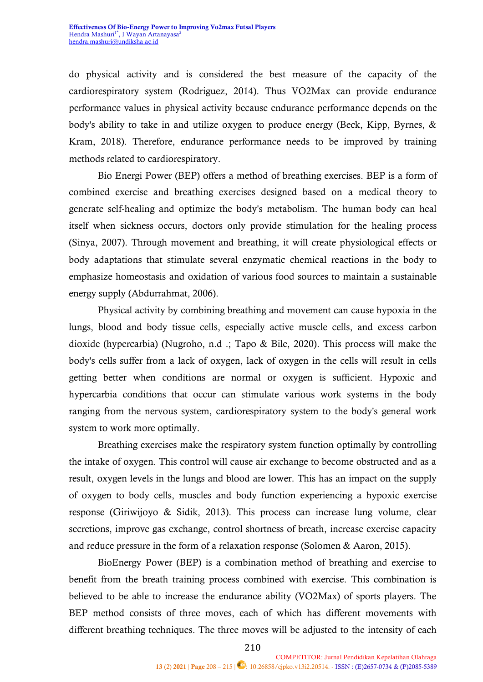do physical activity and is considered the best measure of the capacity of the cardiorespiratory system (Rodriguez, 2014). Thus VO2Max can provide endurance performance values in physical activity because endurance performance depends on the body's ability to take in and utilize oxygen to produce energy (Beck, Kipp, Byrnes, & Kram, 2018). Therefore, endurance performance needs to be improved by training methods related to cardiorespiratory.

Bio Energi Power (BEP) offers a method of breathing exercises. BEP is a form of combined exercise and breathing exercises designed based on a medical theory to generate self-healing and optimize the body's metabolism. The human body can heal itself when sickness occurs, doctors only provide stimulation for the healing process (Sinya, 2007). Through movement and breathing, it will create physiological effects or body adaptations that stimulate several enzymatic chemical reactions in the body to emphasize homeostasis and oxidation of various food sources to maintain a sustainable energy supply (Abdurrahmat, 2006).

Physical activity by combining breathing and movement can cause hypoxia in the lungs, blood and body tissue cells, especially active muscle cells, and excess carbon dioxide (hypercarbia) (Nugroho, n.d .; Tapo & Bile, 2020). This process will make the body's cells suffer from a lack of oxygen, lack of oxygen in the cells will result in cells getting better when conditions are normal or oxygen is sufficient. Hypoxic and hypercarbia conditions that occur can stimulate various work systems in the body ranging from the nervous system, cardiorespiratory system to the body's general work system to work more optimally.

Breathing exercises make the respiratory system function optimally by controlling the intake of oxygen. This control will cause air exchange to become obstructed and as a result, oxygen levels in the lungs and blood are lower. This has an impact on the supply of oxygen to body cells, muscles and body function experiencing a hypoxic exercise response (Giriwijoyo & Sidik, 2013). This process can increase lung volume, clear secretions, improve gas exchange, control shortness of breath, increase exercise capacity and reduce pressure in the form of a relaxation response (Solomen & Aaron, 2015).

BioEnergy Power (BEP) is a combination method of breathing and exercise to benefit from the breath training process combined with exercise. This combination is believed to be able to increase the endurance ability (VO2Max) of sports players. The BEP method consists of three moves, each of which has different movements with different breathing techniques. The three moves will be adjusted to the intensity of each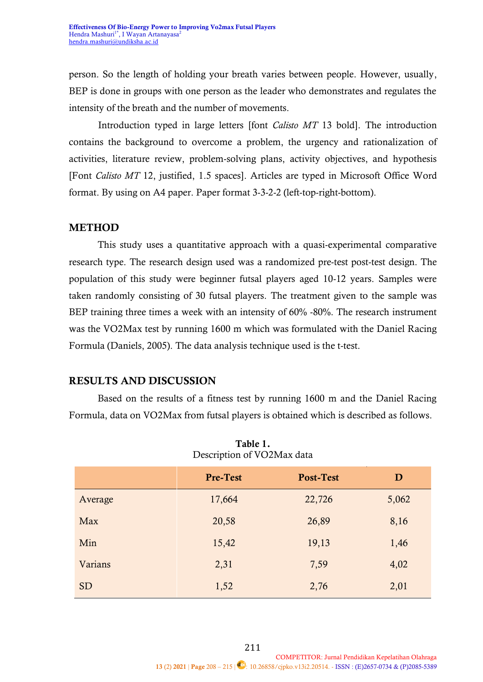person. So the length of holding your breath varies between people. However, usually, BEP is done in groups with one person as the leader who demonstrates and regulates the intensity of the breath and the number of movements.

Introduction typed in large letters [font *Calisto MT* 13 bold]. The introduction contains the background to overcome a problem, the urgency and rationalization of activities, literature review, problem-solving plans, activity objectives, and hypothesis [Font *Calisto MT* 12, justified, 1.5 spaces]. Articles are typed in Microsoft Office Word format. By using on A4 paper. Paper format 3-3-2-2 (left-top-right-bottom).

### **METHOD**

This study uses a quantitative approach with a quasi-experimental comparative research type. The research design used was a randomized pre-test post-test design. The population of this study were beginner futsal players aged 10-12 years. Samples were taken randomly consisting of 30 futsal players. The treatment given to the sample was BEP training three times a week with an intensity of 60% -80%. The research instrument was the VO2Max test by running 1600 m which was formulated with the Daniel Racing Formula (Daniels, 2005). The data analysis technique used is the t-test.

# **RESULTS AND DISCUSSION**

Based on the results of a fitness test by running 1600 m and the Daniel Racing Formula, data on VO2Max from futsal players is obtained which is described as follows.

|           | <b>Pre-Test</b> | Post-Test | $\mathbf{D}$ |
|-----------|-----------------|-----------|--------------|
| Average   | 17,664          | 22,726    | 5,062        |
| Max       | 20,58           | 26,89     | 8,16         |
| Min       | 15,42           | 19,13     | 1,46         |
| Varians   | 2,31            | 7,59      | 4,02         |
| <b>SD</b> | 1,52            | 2,76      | 2,01         |

**Table 1.** Description of VO2Max data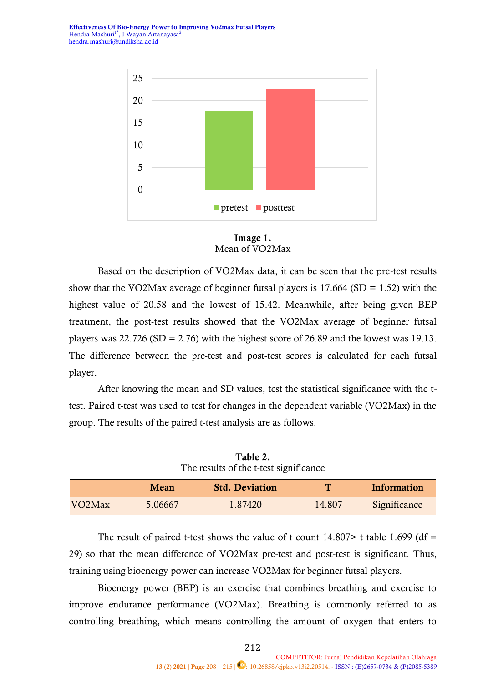**Effectiveness Of Bio-Energy Power to Improving Vo2max Futsal Players** Hendra Mashuri<sup>1\*</sup>, I Wayan Artanayasa<sup>2</sup> [hendra.mashuri@undiksha.ac.id](mailto:hendra.mashuri@undiksha.ac.id)





Based on the description of VO2Max data, it can be seen that the pre-test results show that the VO2Max average of beginner futsal players is  $17.664$  (SD = 1.52) with the highest value of 20.58 and the lowest of 15.42. Meanwhile, after being given BEP treatment, the post-test results showed that the VO2Max average of beginner futsal players was  $22.726$  (SD = 2.76) with the highest score of 26.89 and the lowest was 19.13. The difference between the pre-test and post-test scores is calculated for each futsal player.

After knowing the mean and SD values, test the statistical significance with the ttest. Paired t-test was used to test for changes in the dependent variable (VO2Max) in the group. The results of the paired t-test analysis are as follows.

| The results of the t-test significance |         |                       |        |              |  |
|----------------------------------------|---------|-----------------------|--------|--------------|--|
|                                        | Mean    | <b>Std. Deviation</b> | т      | Information  |  |
| VO <sub>2</sub> M <sub>ax</sub>        | 5.06667 | 1.87420               | 14.807 | Significance |  |

**Table 2.**

The result of paired t-test shows the value of t count  $14.807$  t table 1.699 (df = 29) so that the mean difference of VO2Max pre-test and post-test is significant. Thus, training using bioenergy power can increase VO2Max for beginner futsal players.

Bioenergy power (BEP) is an exercise that combines breathing and exercise to improve endurance performance (VO2Max). Breathing is commonly referred to as controlling breathing, which means controlling the amount of oxygen that enters to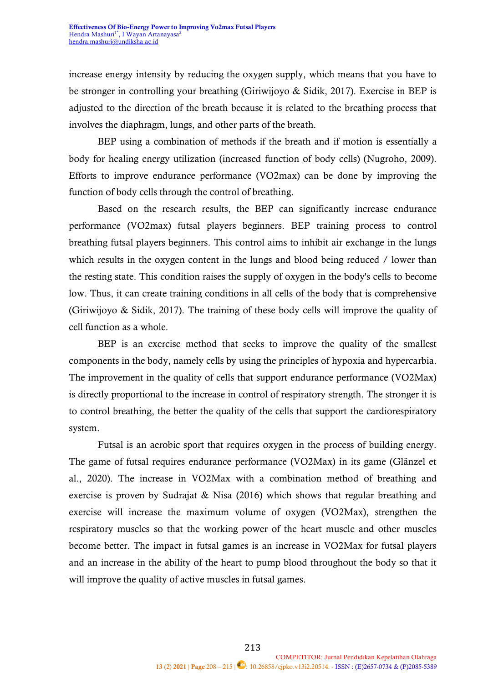increase energy intensity by reducing the oxygen supply, which means that you have to be stronger in controlling your breathing (Giriwijoyo & Sidik, 2017). Exercise in BEP is adjusted to the direction of the breath because it is related to the breathing process that involves the diaphragm, lungs, and other parts of the breath.

BEP using a combination of methods if the breath and if motion is essentially a body for healing energy utilization (increased function of body cells) (Nugroho, 2009). Efforts to improve endurance performance (VO2max) can be done by improving the function of body cells through the control of breathing.

Based on the research results, the BEP can significantly increase endurance performance (VO2max) futsal players beginners. BEP training process to control breathing futsal players beginners. This control aims to inhibit air exchange in the lungs which results in the oxygen content in the lungs and blood being reduced / lower than the resting state. This condition raises the supply of oxygen in the body's cells to become low. Thus, it can create training conditions in all cells of the body that is comprehensive (Giriwijoyo & Sidik, 2017). The training of these body cells will improve the quality of cell function as a whole.

BEP is an exercise method that seeks to improve the quality of the smallest components in the body, namely cells by using the principles of hypoxia and hypercarbia. The improvement in the quality of cells that support endurance performance (VO2Max) is directly proportional to the increase in control of respiratory strength. The stronger it is to control breathing, the better the quality of the cells that support the cardiorespiratory system.

Futsal is an aerobic sport that requires oxygen in the process of building energy. The game of futsal requires endurance performance (VO2Max) in its game (Glänzel et al., 2020). The increase in VO2Max with a combination method of breathing and exercise is proven by Sudrajat & Nisa (2016) which shows that regular breathing and exercise will increase the maximum volume of oxygen (VO2Max), strengthen the respiratory muscles so that the working power of the heart muscle and other muscles become better. The impact in futsal games is an increase in VO2Max for futsal players and an increase in the ability of the heart to pump blood throughout the body so that it will improve the quality of active muscles in futsal games.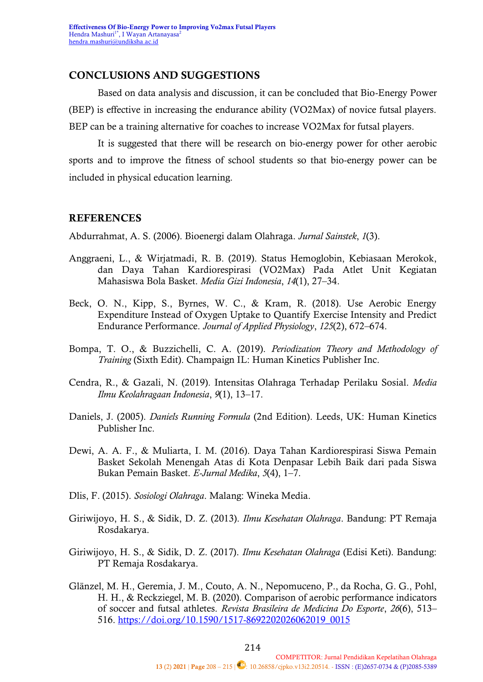#### **CONCLUSIONS AND SUGGESTIONS**

Based on data analysis and discussion, it can be concluded that Bio-Energy Power (BEP) is effective in increasing the endurance ability (VO2Max) of novice futsal players. BEP can be a training alternative for coaches to increase VO2Max for futsal players.

It is suggested that there will be research on bio-energy power for other aerobic sports and to improve the fitness of school students so that bio-energy power can be included in physical education learning.

#### **REFERENCES**

Abdurrahmat, A. S. (2006). Bioenergi dalam Olahraga. *Jurnal Sainstek*, *1*(3).

- Anggraeni, L., & Wirjatmadi, R. B. (2019). Status Hemoglobin, Kebiasaan Merokok, dan Daya Tahan Kardiorespirasi (VO2Max) Pada Atlet Unit Kegiatan Mahasiswa Bola Basket. *Media Gizi Indonesia*, *14*(1), 27–34.
- Beck, O. N., Kipp, S., Byrnes, W. C., & Kram, R. (2018). Use Aerobic Energy Expenditure Instead of Oxygen Uptake to Quantify Exercise Intensity and Predict Endurance Performance. *Journal of Applied Physiology*, *125*(2), 672–674.
- Bompa, T. O., & Buzzichelli, C. A. (2019). *Periodization Theory and Methodology of Training* (Sixth Edit). Champaign IL: Human Kinetics Publisher Inc.
- Cendra, R., & Gazali, N. (2019). Intensitas Olahraga Terhadap Perilaku Sosial. *Media Ilmu Keolahragaan Indonesia*, *9*(1), 13–17.
- Daniels, J. (2005). *Daniels Running Formula* (2nd Edition). Leeds, UK: Human Kinetics Publisher Inc.
- Dewi, A. A. F., & Muliarta, I. M. (2016). Daya Tahan Kardiorespirasi Siswa Pemain Basket Sekolah Menengah Atas di Kota Denpasar Lebih Baik dari pada Siswa Bukan Pemain Basket. *E-Jurnal Medika*, *5*(4), 1–7.
- Dlis, F. (2015). *Sosiologi Olahraga*. Malang: Wineka Media.
- Giriwijoyo, H. S., & Sidik, D. Z. (2013). *Ilmu Kesehatan Olahraga*. Bandung: PT Remaja Rosdakarya.
- Giriwijoyo, H. S., & Sidik, D. Z. (2017). *Ilmu Kesehatan Olahraga* (Edisi Keti). Bandung: PT Remaja Rosdakarya.
- Glänzel, M. H., Geremia, J. M., Couto, A. N., Nepomuceno, P., da Rocha, G. G., Pohl, H. H., & Reckziegel, M. B. (2020). Comparison of aerobic performance indicators of soccer and futsal athletes. *Revista Brasileira de Medicina Do Esporte*, *26*(6), 513– 516. [https://doi.org/10.1590/1517-8692202026062019\\_0015](https://doi.org/10.1590/1517-8692202026062019_0015)